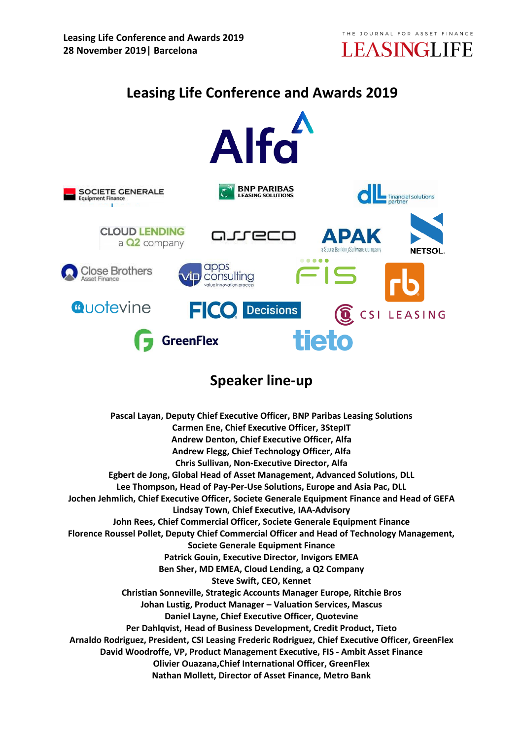

# **Leasing Life Conference and Awards 2019**



# **Speaker line-up**

**Pascal Layan, Deputy Chief Executive Officer, BNP Paribas Leasing Solutions Carmen Ene, Chief Executive Officer, 3StepIT Andrew Denton, Chief Executive Officer, Alfa Andrew Flegg, Chief Technology Officer, Alfa Chris Sullivan, Non-Executive Director, Alfa Egbert de Jong, Global Head of Asset Management, Advanced Solutions, DLL Lee Thompson, Head of Pay-Per-Use Solutions, Europe and Asia Pac, DLL Jochen Jehmlich, Chief Executive Officer, Societe Generale Equipment Finance and Head of GEFA Lindsay Town, Chief Executive, IAA-Advisory John Rees, Chief Commercial Officer, Societe Generale Equipment Finance Florence Roussel Pollet, Deputy Chief Commercial Officer and Head of Technology Management, Societe Generale Equipment Finance Patrick Gouin, Executive Director, Invigors EMEA Ben Sher, MD EMEA, Cloud Lending, a Q2 Company Steve Swift, CEO, Kennet Christian Sonneville, Strategic Accounts Manager Europe, Ritchie Bros Johan Lustig, Product Manager – Valuation Services, Mascus Daniel Layne, Chief Executive Officer, Quotevine Per Dahlqvist, Head of Business Development, Credit Product, Tieto Arnaldo Rodriguez, President, CSI Leasing Frederic Rodriguez, Chief Executive Officer, GreenFlex David Woodroffe, VP, Product Management Executive, FIS - Ambit Asset Finance Olivier Ouazana,Chief International Officer, GreenFlex Nathan Mollett, Director of Asset Finance, Metro Bank**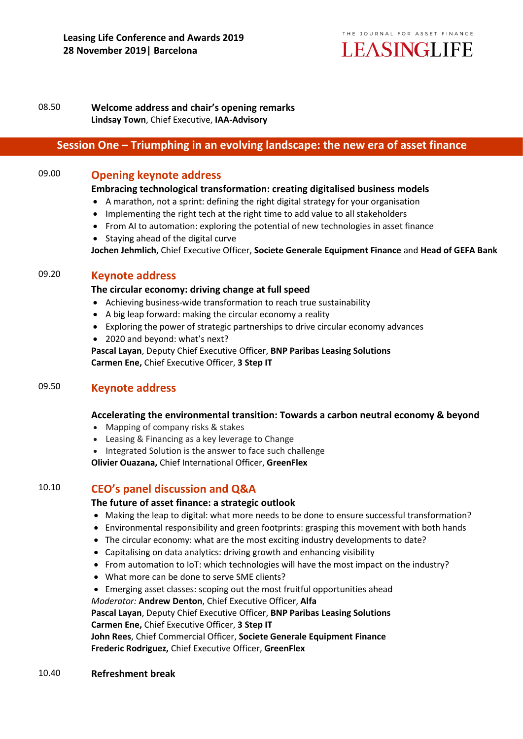

### 08.50 **Welcome address and chair's opening remarks Lindsay Town**, Chief Executive, **IAA-Advisory**

# **Session One – Triumphing in an evolving landscape: the new era of asset finance**

# 09.00 **Opening keynote address**

#### **Embracing technological transformation: creating digitalised business models**

- A marathon, not a sprint: defining the right digital strategy for your organisation
- Implementing the right tech at the right time to add value to all stakeholders
- From AI to automation: exploring the potential of new technologies in asset finance
- Staving ahead of the digital curve

**Jochen Jehmlich**, Chief Executive Officer, **Societe Generale Equipment Finance** and **Head of GEFA Bank**

# 09.20 **Keynote address**

#### **The circular economy: driving change at full speed**

- Achieving business-wide transformation to reach true sustainability
- A big leap forward: making the circular economy a reality
- Exploring the power of strategic partnerships to drive circular economy advances
- 2020 and beyond: what's next?
- **Pascal Layan**, Deputy Chief Executive Officer, **BNP Paribas Leasing Solutions Carmen Ene,** Chief Executive Officer, **3 Step IT**

# 09.50 **Keynote address**

### **Accelerating the environmental transition: Towards a carbon neutral economy & beyond**

- Mapping of company risks & stakes
- Leasing & Financing as a key leverage to Change
- Integrated Solution is the answer to face such challenge

**Olivier Ouazana,** Chief International Officer, **GreenFlex**

# 10.10 **CEO's panel discussion and Q&A**

### **The future of asset finance: a strategic outlook**

- Making the leap to digital: what more needs to be done to ensure successful transformation?
- Environmental responsibility and green footprints: grasping this movement with both hands
- The circular economy: what are the most exciting industry developments to date?
- Capitalising on data analytics: driving growth and enhancing visibility
- From automation to IoT: which technologies will have the most impact on the industry?
- What more can be done to serve SME clients?
- Emerging asset classes: scoping out the most fruitful opportunities ahead

*Moderator:* **Andrew Denton**, Chief Executive Officer, **Alfa** 

**Pascal Layan**, Deputy Chief Executive Officer, **BNP Paribas Leasing Solutions Carmen Ene,** Chief Executive Officer, **3 Step IT**

**John Rees**, Chief Commercial Officer, **Societe Generale Equipment Finance Frederic Rodriguez,** Chief Executive Officer, **GreenFlex**

10.40 **Refreshment break**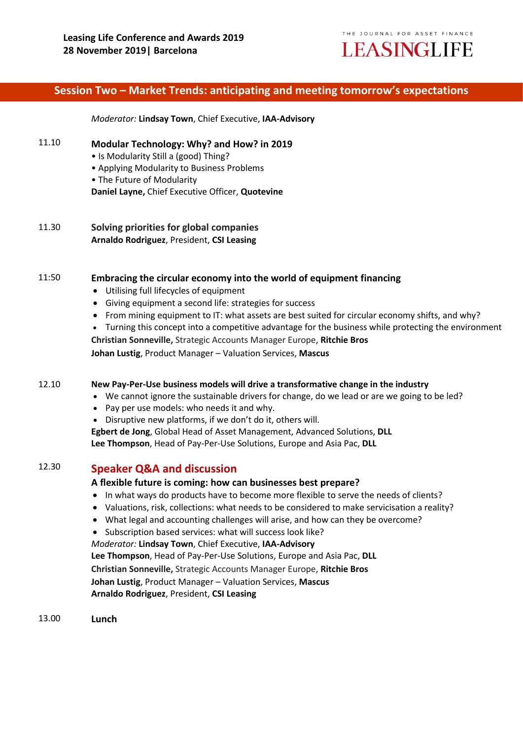

# **Session Two – Market Trends: anticipating and meeting tomorrow's expectations**

*Moderator:* **Lindsay Town**, Chief Executive, **IAA-Advisory**

#### 11.10 **Modular Technology: Why? and How? in 2019**

- Is Modularity Still a (good) Thing?
- Applying Modularity to Business Problems
- The Future of Modularity

**Daniel Layne,** Chief Executive Officer, **Quotevine**

11.30 **Solving priorities for global companies Arnaldo Rodriguez**, President, **CSI Leasing**

#### 11:50 **Embracing the circular economy into the world of equipment financing**

- Utilising full lifecycles of equipment
- Giving equipment a second life: strategies for success
- From mining equipment to IT: what assets are best suited for circular economy shifts, and why?

 Turning this concept into a competitive advantage for the business while protecting the environment **Christian Sonneville,** Strategic Accounts Manager Europe, **Ritchie Bros Johan Lustig**, Product Manager – Valuation Services, **Mascus**

#### 12.10 **New Pay-Per-Use business models will drive a transformative change in the industry**

We cannot ignore the sustainable drivers for change, do we lead or are we going to be led?

- Pay per use models: who needs it and why.
- Disruptive new platforms, if we don't do it, others will.

**Egbert de Jong**, Global Head of Asset Management, Advanced Solutions, **DLL Lee Thompson**, Head of Pay-Per-Use Solutions, Europe and Asia Pac, **DLL**

#### 12.30 **Speaker Q&A and discussion**

#### **A flexible future is coming: how can businesses best prepare?**

- In what ways do products have to become more flexible to serve the needs of clients?
- Valuations, risk, collections: what needs to be considered to make servicisation a reality?
- What legal and accounting challenges will arise, and how can they be overcome?
- Subscription based services: what will success look like?

*Moderator:* **Lindsay Town**, Chief Executive, **IAA-Advisory Lee Thompson**, Head of Pay-Per-Use Solutions, Europe and Asia Pac, **DLL Christian Sonneville,** Strategic Accounts Manager Europe, **Ritchie Bros Johan Lustig**, Product Manager – Valuation Services, **Mascus Arnaldo Rodriguez**, President, **CSI Leasing**

13.00 **Lunch**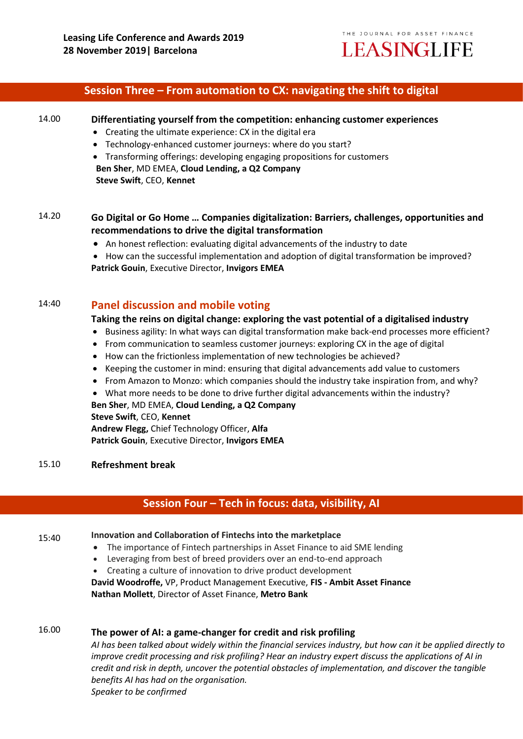## **Session Three – From automation to CX: navigating the shift to digital**

#### 14.00 **Differentiating yourself from the competition: enhancing customer experiences**

- Creating the ultimate experience: CX in the digital era
- Technology-enhanced customer journeys: where do you start?
- Transforming offerings: developing engaging propositions for customers **Ben Sher**, MD EMEA, **Cloud Lending, a Q2 Company Steve Swift**, CEO, **Kennet**

# 14.20 **Go Digital or Go Home … Companies digitalization: Barriers, challenges, opportunities and recommendations to drive the digital transformation**

An honest reflection: evaluating digital advancements of the industry to date

• How can the successful implementation and adoption of digital transformation be improved? **Patrick Gouin**, Executive Director, **Invigors EMEA**

# 14:40 **Panel discussion and mobile voting**

#### **Taking the reins on digital change: exploring the vast potential of a digitalised industry**

- Business agility: In what ways can digital transformation make back-end processes more efficient?
- From communication to seamless customer journeys: exploring CX in the age of digital
- How can the frictionless implementation of new technologies be achieved?
- Keeping the customer in mind: ensuring that digital advancements add value to customers
- From Amazon to Monzo: which companies should the industry take inspiration from, and why?
- What more needs to be done to drive further digital advancements within the industry?

**Ben Sher**, MD EMEA, **Cloud Lending, a Q2 Company Steve Swift**, CEO, **Kennet** 

**Andrew Flegg,** Chief Technology Officer, **Alfa Patrick Gouin**, Executive Director, **Invigors EMEA**

#### 15.10 **Refreshment break**

## **Session Four – Tech in focus: data, visibility, AI**

#### 15:40 **Innovation and Collaboration of Fintechs into the marketplace**

- The importance of Fintech partnerships in Asset Finance to aid SME lending
- Leveraging from best of breed providers over an end-to-end approach
- Creating a culture of innovation to drive product development

**David Woodroffe,** VP, Product Management Executive, **FIS - Ambit Asset Finance Nathan Mollett**, Director of Asset Finance, **Metro Bank**

# 16.00 **The power of AI: a game-changer for credit and risk profiling**

*AI has been talked about widely within the financial services industry, but how can it be applied directly to improve credit processing and risk profiling? Hear an industry expert discuss the applications of AI in credit and risk in depth, uncover the potential obstacles of implementation, and discover the tangible benefits AI has had on the organisation. Speaker to be confirmed*